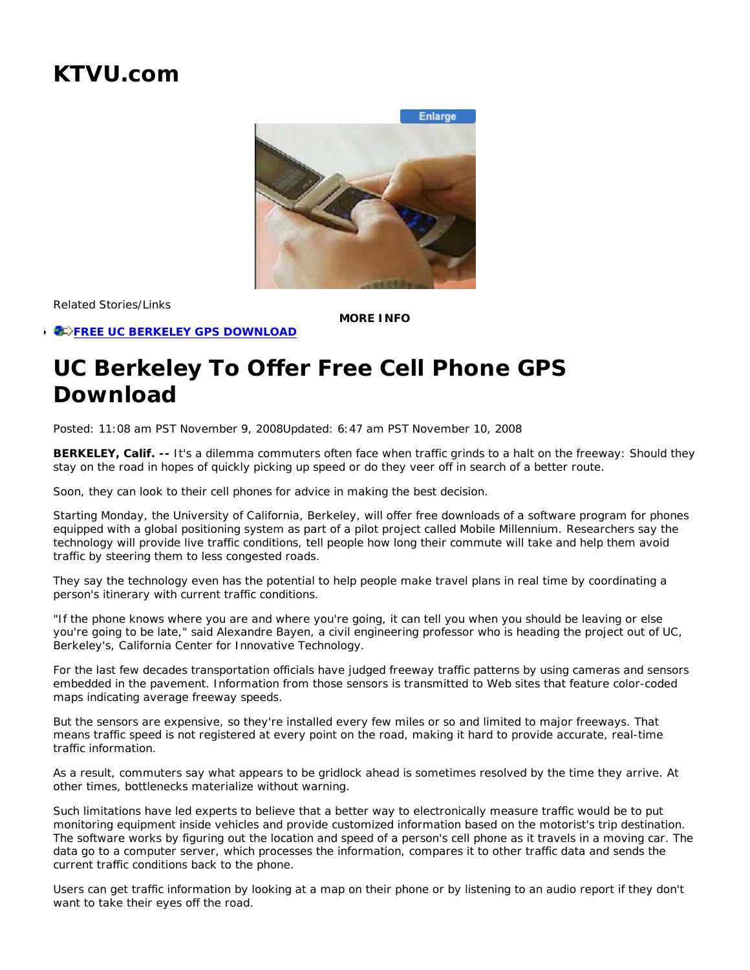## **KTVU.com**

**Enlarge** 



Related Stories/Links

*E*>FREE UC BERKELEY GPS DOWNLOAD

**MORE INFO**

## **UC Berkeley To Offer Free Cell Phone GPS Download**

Posted: 11:08 am PST November 9, 2008Updated: 6:47 am PST November 10, 2008

**BERKELEY, Calif. --** It's a dilemma commuters often face when traffic grinds to a halt on the freeway: Should they stay on the road in hopes of quickly picking up speed or do they veer off in search of a better route.

Soon, they can look to their cell phones for advice in making the best decision.

Starting Monday, the University of California, Berkeley, will offer free downloads of a software program for phones equipped with a global positioning system as part of a pilot project called Mobile Millennium. Researchers say the technology will provide live traffic conditions, tell people how long their commute will take and help them avoid traffic by steering them to less congested roads.

They say the technology even has the potential to help people make travel plans in real time by coordinating a person's itinerary with current traffic conditions.

"If the phone knows where you are and where you're going, it can tell you when you should be leaving or else you're going to be late," said Alexandre Bayen, a civil engineering professor who is heading the project out of UC, Berkeley's, California Center for Innovative Technology.

For the last few decades transportation officials have judged freeway traffic patterns by using cameras and sensors embedded in the pavement. Information from those sensors is transmitted to Web sites that feature color-coded maps indicating average freeway speeds.

But the sensors are expensive, so they're installed every few miles or so and limited to major freeways. That means traffic speed is not registered at every point on the road, making it hard to provide accurate, real-time traffic information.

As a result, commuters say what appears to be gridlock ahead is sometimes resolved by the time they arrive. At other times, bottlenecks materialize without warning.

Such limitations have led experts to believe that a better way to electronically measure traffic would be to put monitoring equipment inside vehicles and provide customized information based on the motorist's trip destination. The software works by figuring out the location and speed of a person's cell phone as it travels in a moving car. The data go to a computer server, which processes the information, compares it to other traffic data and sends the current traffic conditions back to the phone.

Users can get traffic information by looking at a map on their phone or by listening to an audio report if they don't want to take their eyes off the road.